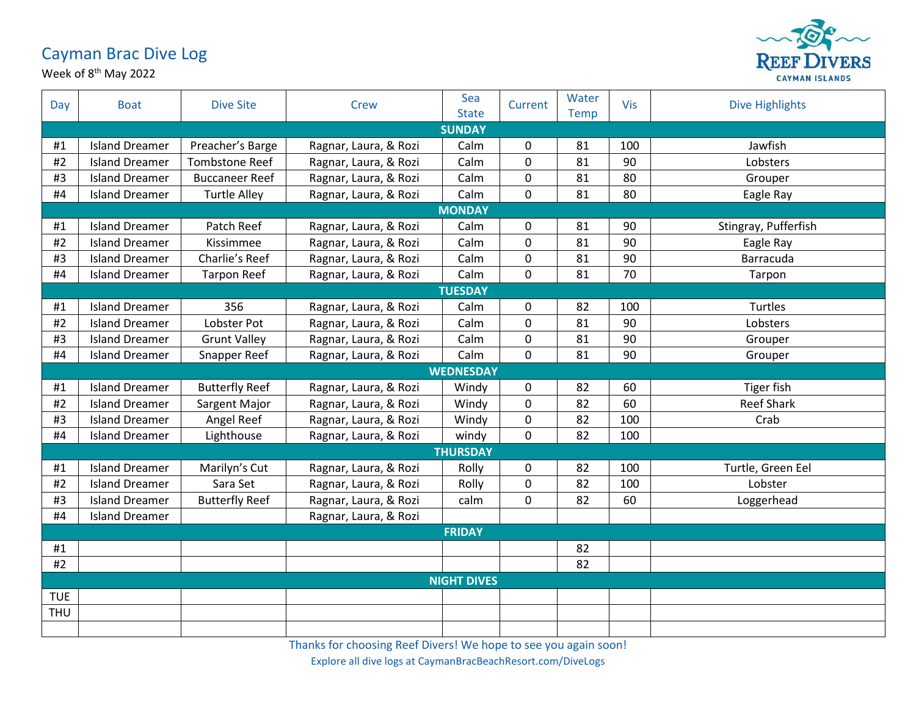## Cayman Brac Dive Log

Week of 8<sup>th</sup> May 2022



| Day        | <b>Boat</b>           | <b>Dive Site</b>      | Crew                  | Sea<br><b>State</b> | Current     | Water<br><b>Temp</b> | Vis | <b>Dive Highlights</b> |  |  |
|------------|-----------------------|-----------------------|-----------------------|---------------------|-------------|----------------------|-----|------------------------|--|--|
|            | <b>SUNDAY</b>         |                       |                       |                     |             |                      |     |                        |  |  |
| #1         | <b>Island Dreamer</b> | Preacher's Barge      | Ragnar, Laura, & Rozi | Calm                | 0           | 81                   | 100 | Jawfish                |  |  |
| #2         | <b>Island Dreamer</b> | <b>Tombstone Reef</b> | Ragnar, Laura, & Rozi | Calm                | 0           | 81                   | 90  | Lobsters               |  |  |
| #3         | <b>Island Dreamer</b> | <b>Buccaneer Reef</b> | Ragnar, Laura, & Rozi | Calm                | 0           | 81                   | 80  | Grouper                |  |  |
| #4         | <b>Island Dreamer</b> | <b>Turtle Alley</b>   | Ragnar, Laura, & Rozi | Calm                | $\mathbf 0$ | 81                   | 80  | Eagle Ray              |  |  |
|            | <b>MONDAY</b>         |                       |                       |                     |             |                      |     |                        |  |  |
| #1         | <b>Island Dreamer</b> | Patch Reef            | Ragnar, Laura, & Rozi | Calm                | 0           | 81                   | 90  | Stingray, Pufferfish   |  |  |
| #2         | <b>Island Dreamer</b> | Kissimmee             | Ragnar, Laura, & Rozi | Calm                | 0           | 81                   | 90  | Eagle Ray              |  |  |
| #3         | <b>Island Dreamer</b> | Charlie's Reef        | Ragnar, Laura, & Rozi | Calm                | 0           | 81                   | 90  | Barracuda              |  |  |
| #4         | <b>Island Dreamer</b> | <b>Tarpon Reef</b>    | Ragnar, Laura, & Rozi | Calm                | 0           | 81                   | 70  | Tarpon                 |  |  |
|            | <b>TUESDAY</b>        |                       |                       |                     |             |                      |     |                        |  |  |
| #1         | <b>Island Dreamer</b> | 356                   | Ragnar, Laura, & Rozi | Calm                | 0           | 82                   | 100 | Turtles                |  |  |
| #2         | <b>Island Dreamer</b> | Lobster Pot           | Ragnar, Laura, & Rozi | Calm                | 0           | 81                   | 90  | Lobsters               |  |  |
| #3         | <b>Island Dreamer</b> | <b>Grunt Valley</b>   | Ragnar, Laura, & Rozi | Calm                | 0           | 81                   | 90  | Grouper                |  |  |
| #4         | <b>Island Dreamer</b> | Snapper Reef          | Ragnar, Laura, & Rozi | Calm                | 0           | 81                   | 90  | Grouper                |  |  |
|            |                       |                       |                       | <b>WEDNESDAY</b>    |             |                      |     |                        |  |  |
| #1         | <b>Island Dreamer</b> | <b>Butterfly Reef</b> | Ragnar, Laura, & Rozi | Windy               | $\mathbf 0$ | 82                   | 60  | Tiger fish             |  |  |
| #2         | <b>Island Dreamer</b> | Sargent Major         | Ragnar, Laura, & Rozi | Windy               | 0           | 82                   | 60  | <b>Reef Shark</b>      |  |  |
| #3         | <b>Island Dreamer</b> | Angel Reef            | Ragnar, Laura, & Rozi | Windy               | 0           | 82                   | 100 | Crab                   |  |  |
| #4         | <b>Island Dreamer</b> | Lighthouse            | Ragnar, Laura, & Rozi | windy               | 0           | 82                   | 100 |                        |  |  |
|            | <b>THURSDAY</b>       |                       |                       |                     |             |                      |     |                        |  |  |
| #1         | <b>Island Dreamer</b> | Marilyn's Cut         | Ragnar, Laura, & Rozi | Rolly               | 0           | 82                   | 100 | Turtle, Green Eel      |  |  |
| #2         | <b>Island Dreamer</b> | Sara Set              | Ragnar, Laura, & Rozi | Rolly               | 0           | 82                   | 100 | Lobster                |  |  |
| #3         | <b>Island Dreamer</b> | <b>Butterfly Reef</b> | Ragnar, Laura, & Rozi | calm                | 0           | 82                   | 60  | Loggerhead             |  |  |
| #4         | <b>Island Dreamer</b> |                       | Ragnar, Laura, & Rozi |                     |             |                      |     |                        |  |  |
|            |                       |                       |                       | <b>FRIDAY</b>       |             |                      |     |                        |  |  |
| #1         |                       |                       |                       |                     |             | 82                   |     |                        |  |  |
| #2         |                       |                       |                       |                     |             | 82                   |     |                        |  |  |
|            | <b>NIGHT DIVES</b>    |                       |                       |                     |             |                      |     |                        |  |  |
| <b>TUE</b> |                       |                       |                       |                     |             |                      |     |                        |  |  |
| <b>THU</b> |                       |                       |                       |                     |             |                      |     |                        |  |  |
|            |                       |                       |                       |                     |             |                      |     |                        |  |  |

Thanks for choosing Reef Divers! We hope to see you again soon!

Explore all dive logs at CaymanBracBeachResort.com/DiveLogs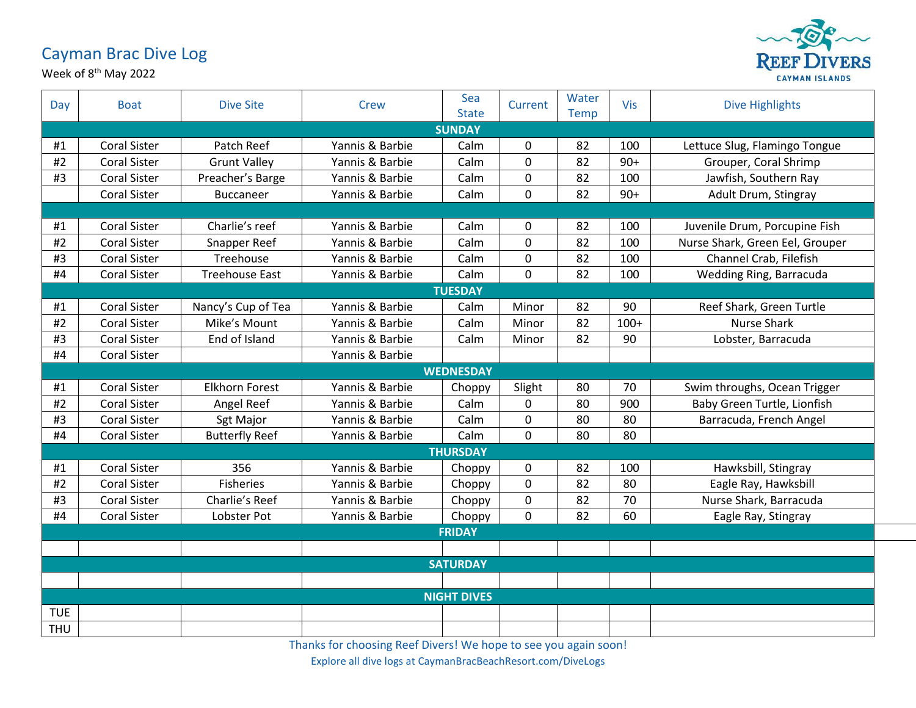## Cayman Brac Dive Log

Week of 8<sup>th</sup> May 2022



| Day                | <b>Boat</b>         | <b>Dive Site</b>      | Crew            | Sea<br><b>State</b> | Current     | Water<br>Temp | <b>Vis</b> | <b>Dive Highlights</b>          |  |  |
|--------------------|---------------------|-----------------------|-----------------|---------------------|-------------|---------------|------------|---------------------------------|--|--|
| <b>SUNDAY</b>      |                     |                       |                 |                     |             |               |            |                                 |  |  |
| #1                 | <b>Coral Sister</b> | Patch Reef            | Yannis & Barbie | Calm                | 0           | 82            | 100        | Lettuce Slug, Flamingo Tongue   |  |  |
| #2                 | <b>Coral Sister</b> | <b>Grunt Valley</b>   | Yannis & Barbie | Calm                | $\mathbf 0$ | 82            | $90+$      | Grouper, Coral Shrimp           |  |  |
| #3                 | <b>Coral Sister</b> | Preacher's Barge      | Yannis & Barbie | Calm                | $\mathbf 0$ | 82            | 100        | Jawfish, Southern Ray           |  |  |
|                    | <b>Coral Sister</b> | <b>Buccaneer</b>      | Yannis & Barbie | Calm                | $\mathbf 0$ | 82            | $90+$      | Adult Drum, Stingray            |  |  |
|                    |                     |                       |                 |                     |             |               |            |                                 |  |  |
| #1                 | <b>Coral Sister</b> | Charlie's reef        | Yannis & Barbie | Calm                | 0           | 82            | 100        | Juvenile Drum, Porcupine Fish   |  |  |
| #2                 | <b>Coral Sister</b> | Snapper Reef          | Yannis & Barbie | Calm                | $\mathbf 0$ | 82            | 100        | Nurse Shark, Green Eel, Grouper |  |  |
| #3                 | <b>Coral Sister</b> | Treehouse             | Yannis & Barbie | Calm                | $\mathbf 0$ | 82            | 100        | Channel Crab, Filefish          |  |  |
| #4                 | Coral Sister        | <b>Treehouse East</b> | Yannis & Barbie | Calm                | $\mathbf 0$ | 82            | 100        | Wedding Ring, Barracuda         |  |  |
|                    |                     |                       |                 | <b>TUESDAY</b>      |             |               |            |                                 |  |  |
| #1                 | <b>Coral Sister</b> | Nancy's Cup of Tea    | Yannis & Barbie | Calm                | Minor       | 82            | 90         | Reef Shark, Green Turtle        |  |  |
| $\#2$              | <b>Coral Sister</b> | Mike's Mount          | Yannis & Barbie | Calm                | Minor       | 82            | $100+$     | Nurse Shark                     |  |  |
| #3                 | <b>Coral Sister</b> | End of Island         | Yannis & Barbie | Calm                | Minor       | 82            | 90         | Lobster, Barracuda              |  |  |
| #4                 | Coral Sister        |                       | Yannis & Barbie |                     |             |               |            |                                 |  |  |
|                    | <b>WEDNESDAY</b>    |                       |                 |                     |             |               |            |                                 |  |  |
| #1                 | <b>Coral Sister</b> | <b>Elkhorn Forest</b> | Yannis & Barbie | Choppy              | Slight      | 80            | 70         | Swim throughs, Ocean Trigger    |  |  |
| #2                 | <b>Coral Sister</b> | Angel Reef            | Yannis & Barbie | Calm                | 0           | 80            | 900        | Baby Green Turtle, Lionfish     |  |  |
| #3                 | <b>Coral Sister</b> | Sgt Major             | Yannis & Barbie | Calm                | $\mathbf 0$ | 80            | 80         | Barracuda, French Angel         |  |  |
| #4                 | <b>Coral Sister</b> | <b>Butterfly Reef</b> | Yannis & Barbie | Calm                | $\mathbf 0$ | 80            | 80         |                                 |  |  |
| <b>THURSDAY</b>    |                     |                       |                 |                     |             |               |            |                                 |  |  |
| #1                 | <b>Coral Sister</b> | 356                   | Yannis & Barbie | Choppy              | 0           | 82            | 100        | Hawksbill, Stingray             |  |  |
| #2                 | <b>Coral Sister</b> | <b>Fisheries</b>      | Yannis & Barbie | Choppy              | $\mathbf 0$ | 82            | 80         | Eagle Ray, Hawksbill            |  |  |
| #3                 | <b>Coral Sister</b> | Charlie's Reef        | Yannis & Barbie | Choppy              | $\mathbf 0$ | 82            | 70         | Nurse Shark, Barracuda          |  |  |
| #4                 | <b>Coral Sister</b> | Lobster Pot           | Yannis & Barbie | Choppy              | $\mathbf 0$ | 82            | 60         | Eagle Ray, Stingray             |  |  |
|                    |                     |                       |                 | <b>FRIDAY</b>       |             |               |            |                                 |  |  |
|                    |                     |                       |                 |                     |             |               |            |                                 |  |  |
| <b>SATURDAY</b>    |                     |                       |                 |                     |             |               |            |                                 |  |  |
|                    |                     |                       |                 |                     |             |               |            |                                 |  |  |
| <b>NIGHT DIVES</b> |                     |                       |                 |                     |             |               |            |                                 |  |  |
| <b>TUE</b>         |                     |                       |                 |                     |             |               |            |                                 |  |  |
| <b>THU</b>         |                     |                       |                 |                     |             |               |            |                                 |  |  |

Thanks for choosing Reef Divers! We hope to see you again soon!

Explore all dive logs at CaymanBracBeachResort.com/DiveLogs